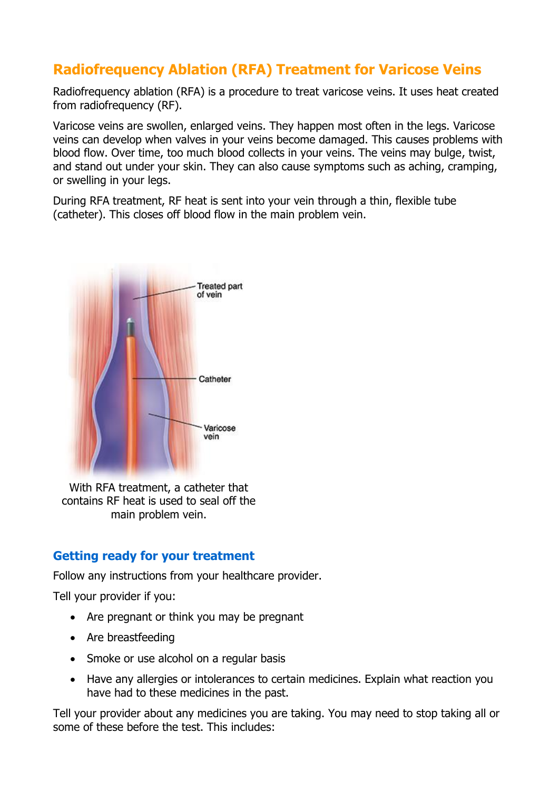# **Radiofrequency Ablation (RFA) Treatment for Varicose Veins**

Radiofrequency ablation (RFA) is a procedure to treat varicose veins. It uses heat created from radiofrequency (RF).

Varicose veins are swollen, enlarged veins. They happen most often in the legs. Varicose veins can develop when valves in your veins become damaged. This causes problems with blood flow. Over time, too much blood collects in your veins. The veins may bulge, twist, and stand out under your skin. They can also cause symptoms such as aching, cramping, or swelling in your legs.

During RFA treatment, RF heat is sent into your vein through a thin, flexible tube (catheter). This closes off blood flow in the main problem vein.



With RFA treatment, a catheter that contains RF heat is used to seal off the main problem vein.

## **Getting ready for your treatment**

Follow any instructions from your healthcare provider.

Tell your provider if you:

- Are pregnant or think you may be pregnant
- Are breastfeeding
- Smoke or use alcohol on a regular basis
- Have any allergies or intolerances to certain medicines. Explain what reaction you have had to these medicines in the past.

Tell your provider about any medicines you are taking. You may need to stop taking all or some of these before the test. This includes: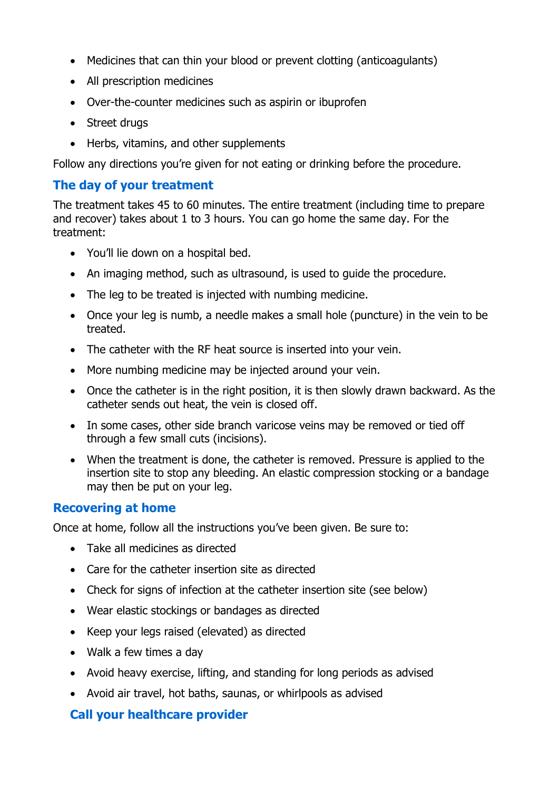- Medicines that can thin your blood or prevent clotting (anticoagulants)
- All prescription medicines
- Over-the-counter medicines such as aspirin or ibuprofen
- Street drugs
- Herbs, vitamins, and other supplements

Follow any directions you're given for not eating or drinking before the procedure.

## **The day of your treatment**

The treatment takes 45 to 60 minutes. The entire treatment (including time to prepare and recover) takes about 1 to 3 hours. You can go home the same day. For the treatment:

- You'll lie down on a hospital bed.
- An imaging method, such as ultrasound, is used to quide the procedure.
- The leg to be treated is injected with numbing medicine.
- Once your leg is numb, a needle makes a small hole (puncture) in the vein to be treated.
- The catheter with the RF heat source is inserted into your vein.
- More numbing medicine may be injected around your vein.
- Once the catheter is in the right position, it is then slowly drawn backward. As the catheter sends out heat, the vein is closed off.
- In some cases, other side branch varicose veins may be removed or tied off through a few small cuts (incisions).
- When the treatment is done, the catheter is removed. Pressure is applied to the insertion site to stop any bleeding. An elastic compression stocking or a bandage may then be put on your leg.

#### **Recovering at home**

Once at home, follow all the instructions you've been given. Be sure to:

- Take all medicines as directed
- Care for the catheter insertion site as directed
- Check for signs of infection at the catheter insertion site (see below)
- Wear elastic stockings or bandages as directed
- Keep your legs raised (elevated) as directed
- Walk a few times a day
- Avoid heavy exercise, lifting, and standing for long periods as advised
- Avoid air travel, hot baths, saunas, or whirlpools as advised

## **Call your healthcare provider**